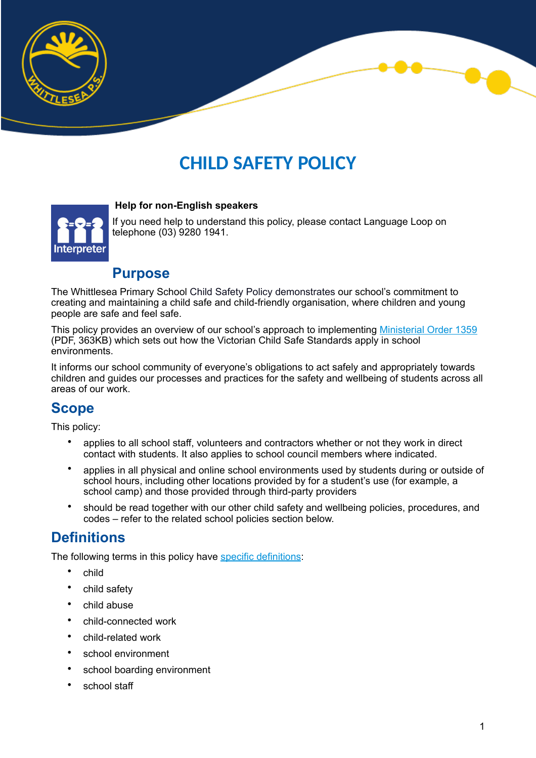

# **CHILD SAFETY POLICY**



If you need help to understand this policy, please contact Language Loop on telephone (03) 9280 1941.

### **Purpose**

 **Help for non-English speakers**

The Whittlesea Primary School Child Safety Policy demonstrates our school's commitment to creating and maintaining a child safe and child-friendly organisation, where children and young people are safe and feel safe.

This policy provides an overview of our school's approach to implementing [Ministerial Order 1359](https://www.education.vic.gov.au/Documents/about/programs/health/protect/Ministerial_Order.pdf) (PDF, 363KB) which sets out how the Victorian Child Safe Standards apply in school environments.

It informs our school community of everyone's obligations to act safely and appropriately towards children and guides our processes and practices for the safety and wellbeing of students across all areas of our work.

# **Scope**

This policy:

- applies to all school staff, volunteers and contractors whether or not they work in direct contact with students. It also applies to school council members where indicated.
- applies in all physical and online school environments used by students during or outside of school hours, including other locations provided by for a student's use (for example, a school camp) and those provided through third-party providers
- should be read together with our other child safety and wellbeing policies, procedures, and codes – refer to the related school policies section below.

### **Definitions**

The following terms in this policy have [specific definitions](https://www.vic.gov.au/child-safe-standards-definitions):

- child
- child safety
- child abuse
- child-connected work
- child-related work
- school environment
- school boarding environment
- school staff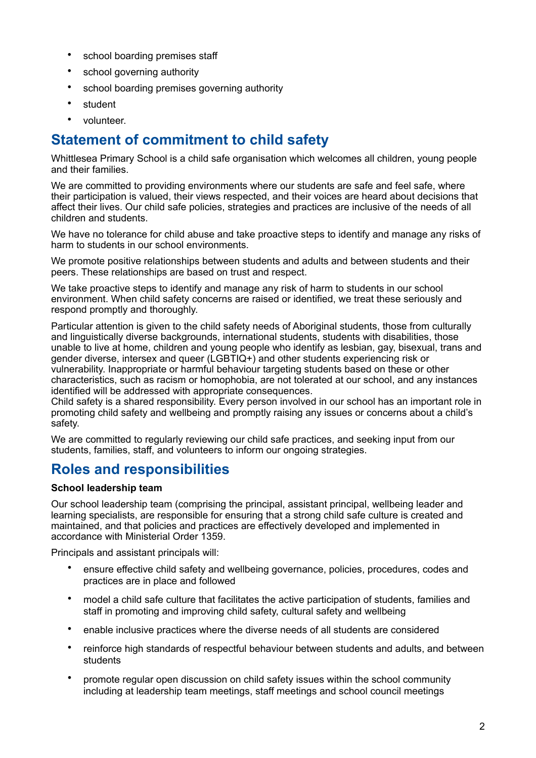- school boarding premises staff
- school governing authority
- school boarding premises governing authority
- student
- volunteer.

# **Statement of commitment to child safety**

Whittlesea Primary School is a child safe organisation which welcomes all children, young people and their families.

We are committed to providing environments where our students are safe and feel safe, where their participation is valued, their views respected, and their voices are heard about decisions that affect their lives. Our child safe policies, strategies and practices are inclusive of the needs of all children and students.

We have no tolerance for child abuse and take proactive steps to identify and manage any risks of harm to students in our school environments.

We promote positive relationships between students and adults and between students and their peers. These relationships are based on trust and respect.

We take proactive steps to identify and manage any risk of harm to students in our school environment. When child safety concerns are raised or identified, we treat these seriously and respond promptly and thoroughly.

Particular attention is given to the child safety needs of Aboriginal students, those from culturally and linguistically diverse backgrounds, international students, students with disabilities, those unable to live at home, children and young people who identify as lesbian, gay, bisexual, trans and gender diverse, intersex and queer (LGBTIQ+) and other students experiencing risk or vulnerability. Inappropriate or harmful behaviour targeting students based on these or other characteristics, such as racism or homophobia, are not tolerated at our school, and any instances identified will be addressed with appropriate consequences.

Child safety is a shared responsibility. Every person involved in our school has an important role in promoting child safety and wellbeing and promptly raising any issues or concerns about a child's safety.

We are committed to regularly reviewing our child safe practices, and seeking input from our students, families, staff, and volunteers to inform our ongoing strategies.

### **Roles and responsibilities**

#### **School leadership team**

Our school leadership team (comprising the principal, assistant principal, wellbeing leader and learning specialists, are responsible for ensuring that a strong child safe culture is created and maintained, and that policies and practices are effectively developed and implemented in accordance with Ministerial Order 1359.

Principals and assistant principals will:

- ensure effective child safety and wellbeing governance, policies, procedures, codes and practices are in place and followed
- model a child safe culture that facilitates the active participation of students, families and staff in promoting and improving child safety, cultural safety and wellbeing
- enable inclusive practices where the diverse needs of all students are considered
- reinforce high standards of respectful behaviour between students and adults, and between students
- promote regular open discussion on child safety issues within the school community including at leadership team meetings, staff meetings and school council meetings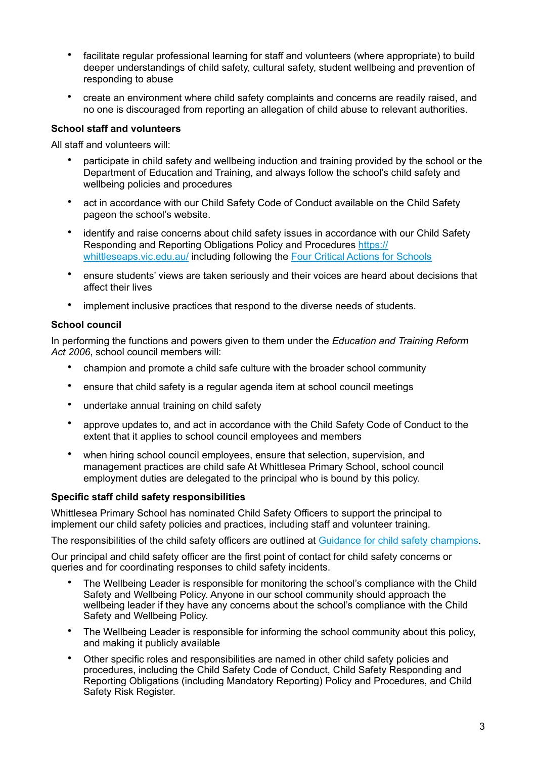- facilitate regular professional learning for staff and volunteers (where appropriate) to build deeper understandings of child safety, cultural safety, student wellbeing and prevention of responding to abuse
- create an environment where child safety complaints and concerns are readily raised, and no one is discouraged from reporting an allegation of child abuse to relevant authorities.

#### **School staff and volunteers**

All staff and volunteers will:

- participate in child safety and wellbeing induction and training provided by the school or the Department of Education and Training, and always follow the school's child safety and wellbeing policies and procedures
- act in accordance with our Child Safety Code of Conduct available on the Child Safety pageon the school's website.
- identify and raise concerns about child safety issues in accordance with our Child Safety Responding and Reporting Obligations Policy and Procedures [https://](https://whittleseaps.vic.edu.au/) [whittleseaps.vic.edu.au/](https://whittleseaps.vic.edu.au/) including following the [Four Critical Actions for Schools](https://www.education.vic.gov.au/school/teachers/health/childprotection/Pages/report.aspx)
- ensure students' views are taken seriously and their voices are heard about decisions that affect their lives
- implement inclusive practices that respond to the diverse needs of students.

#### **School council**

In performing the functions and powers given to them under the *Education and Training Reform Act 2006*, school council members will:

- champion and promote a child safe culture with the broader school community
- ensure that child safety is a regular agenda item at school council meetings
- undertake annual training on child safety
- approve updates to, and act in accordance with the Child Safety Code of Conduct to the extent that it applies to school council employees and members
- when hiring school council employees, ensure that selection, supervision, and management practices are child safe At Whittlesea Primary School, school council employment duties are delegated to the principal who is bound by this policy.

#### **Specific staff child safety responsibilities**

Whittlesea Primary School has nominated Child Safety Officers to support the principal to implement our child safety policies and practices, including staff and volunteer training.

The responsibilities of the child safety officers are outlined at [Guidance for child safety champions.](https://www.vic.gov.au/guidance-child-safety-champions)

Our principal and child safety officer are the first point of contact for child safety concerns or queries and for coordinating responses to child safety incidents.

- The Wellbeing Leader is responsible for monitoring the school's compliance with the Child Safety and Wellbeing Policy. Anyone in our school community should approach the wellbeing leader if they have any concerns about the school's compliance with the Child Safety and Wellbeing Policy.
- The Wellbeing Leader is responsible for informing the school community about this policy, and making it publicly available
- Other specific roles and responsibilities are named in other child safety policies and procedures, including the Child Safety Code of Conduct, Child Safety Responding and Reporting Obligations (including Mandatory Reporting) Policy and Procedures, and Child Safety Risk Register.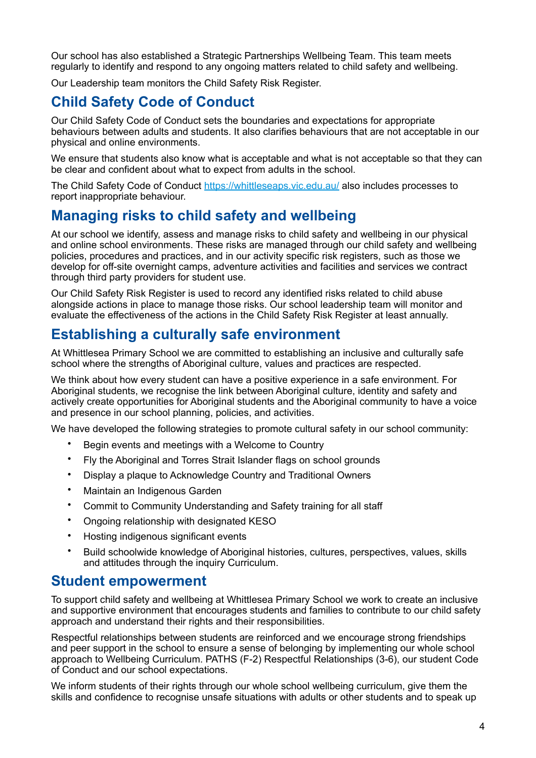Our school has also established a Strategic Partnerships Wellbeing Team. This team meets regularly to identify and respond to any ongoing matters related to child safety and wellbeing.

Our Leadership team monitors the Child Safety Risk Register.

# **Child Safety Code of Conduct**

Our Child Safety Code of Conduct sets the boundaries and expectations for appropriate behaviours between adults and students. It also clarifies behaviours that are not acceptable in our physical and online environments.

We ensure that students also know what is acceptable and what is not acceptable so that they can be clear and confident about what to expect from adults in the school.

The Child Safety Code of Conduct <https://whittleseaps.vic.edu.au/> also includes processes to report inappropriate behaviour.

### **Managing risks to child safety and wellbeing**

At our school we identify, assess and manage risks to child safety and wellbeing in our physical and online school environments. These risks are managed through our child safety and wellbeing policies, procedures and practices, and in our activity specific risk registers, such as those we develop for off-site overnight camps, adventure activities and facilities and services we contract through third party providers for student use.

Our Child Safety Risk Register is used to record any identified risks related to child abuse alongside actions in place to manage those risks. Our school leadership team will monitor and evaluate the effectiveness of the actions in the Child Safety Risk Register at least annually.

# **Establishing a culturally safe environment**

At Whittlesea Primary School we are committed to establishing an inclusive and culturally safe school where the strengths of Aboriginal culture, values and practices are respected.

We think about how every student can have a positive experience in a safe environment. For Aboriginal students, we recognise the link between Aboriginal culture, identity and safety and actively create opportunities for Aboriginal students and the Aboriginal community to have a voice and presence in our school planning, policies, and activities.

We have developed the following strategies to promote cultural safety in our school community:

- Begin events and meetings with a Welcome to Country
- Fly the Aboriginal and Torres Strait Islander flags on school grounds
- Display a plaque to Acknowledge Country and Traditional Owners
- Maintain an Indigenous Garden
- Commit to Community Understanding and Safety training for all staff
- Ongoing relationship with designated KESO
- Hosting indigenous significant events
- Build schoolwide knowledge of Aboriginal histories, cultures, perspectives, values, skills and attitudes through the inquiry Curriculum.

### **Student empowerment**

To support child safety and wellbeing at Whittlesea Primary School we work to create an inclusive and supportive environment that encourages students and families to contribute to our child safety approach and understand their rights and their responsibilities.

Respectful relationships between students are reinforced and we encourage strong friendships and peer support in the school to ensure a sense of belonging by implementing our whole school approach to Wellbeing Curriculum. PATHS (F-2) Respectful Relationships (3-6), our student Code of Conduct and our school expectations.

We inform students of their rights through our whole school wellbeing curriculum, give them the skills and confidence to recognise unsafe situations with adults or other students and to speak up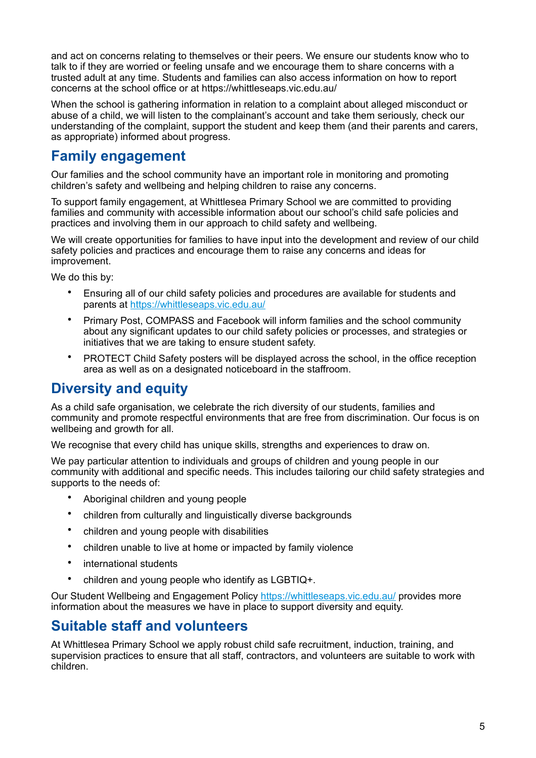and act on concerns relating to themselves or their peers. We ensure our students know who to talk to if they are worried or feeling unsafe and we encourage them to share concerns with a trusted adult at any time. Students and families can also access information on how to report concerns at the school office or at https://whittleseaps.vic.edu.au/

When the school is gathering information in relation to a complaint about alleged misconduct or abuse of a child, we will listen to the complainant's account and take them seriously, check our understanding of the complaint, support the student and keep them (and their parents and carers, as appropriate) informed about progress.

### **Family engagement**

Our families and the school community have an important role in monitoring and promoting children's safety and wellbeing and helping children to raise any concerns.

To support family engagement, at Whittlesea Primary School we are committed to providing families and community with accessible information about our school's child safe policies and practices and involving them in our approach to child safety and wellbeing.

We will create opportunities for families to have input into the development and review of our child safety policies and practices and encourage them to raise any concerns and ideas for improvement.

We do this by:

- Ensuring all of our child safety policies and procedures are available for students and parents at <https://whittleseaps.vic.edu.au/>
- Primary Post, COMPASS and Facebook will inform families and the school community about any significant updates to our child safety policies or processes, and strategies or initiatives that we are taking to ensure student safety.
- PROTECT Child Safety posters will be displayed across the school, in the office reception area as well as on a designated noticeboard in the staffroom.

### **Diversity and equity**

As a child safe organisation, we celebrate the rich diversity of our students, families and community and promote respectful environments that are free from discrimination. Our focus is on wellbeing and growth for all.

We recognise that every child has unique skills, strengths and experiences to draw on.

We pay particular attention to individuals and groups of children and young people in our community with additional and specific needs. This includes tailoring our child safety strategies and supports to the needs of:

- Aboriginal children and young people
- children from culturally and linguistically diverse backgrounds
- children and young people with disabilities
- children unable to live at home or impacted by family violence
- international students
- children and young people who identify as LGBTIQ+.

Our Student Wellbeing and Engagement Policy<https://whittleseaps.vic.edu.au/> provides more information about the measures we have in place to support diversity and equity.

### **Suitable staff and volunteers**

At Whittlesea Primary School we apply robust child safe recruitment, induction, training, and supervision practices to ensure that all staff, contractors, and volunteers are suitable to work with children.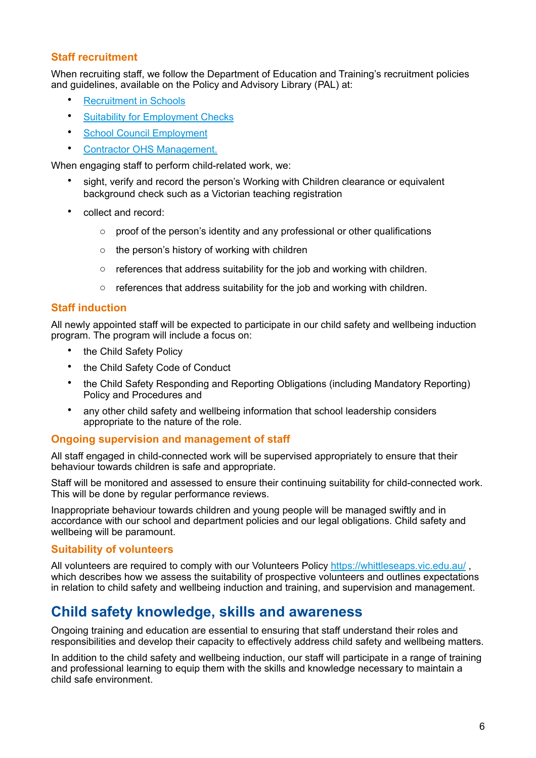#### **Staff recruitment**

When recruiting staff, we follow the Department of Education and Training's recruitment policies and guidelines, available on the Policy and Advisory Library (PAL) at:

- **[Recruitment in Schools](https://www2.education.vic.gov.au/pal/recruitment-schools/overview)**
- [Suitability for Employment Checks](https://www2.education.vic.gov.au/pal/suitability-employment-checks/overview)
- [School Council Employment](https://www2.education.vic.gov.au/pal/school-council-employment/overview)
- [Contractor OHS Management](https://www2.education.vic.gov.au/pal/contractor-ohs-management/policy).

When engaging staff to perform child-related work, we:

- sight, verify and record the person's Working with Children clearance or equivalent background check such as a Victorian teaching registration
- collect and record:
	- o proof of the person's identity and any professional or other qualifications
	- $\circ$  the person's history of working with children
	- o references that address suitability for the job and working with children.
	- $\circ$  references that address suitability for the job and working with children.

#### **Staff induction**

All newly appointed staff will be expected to participate in our child safety and wellbeing induction program. The program will include a focus on:

- the Child Safety Policy
- the Child Safety Code of Conduct
- the Child Safety Responding and Reporting Obligations (including Mandatory Reporting) Policy and Procedures and
- any other child safety and wellbeing information that school leadership considers appropriate to the nature of the role.

#### **Ongoing supervision and management of staff**

All staff engaged in child-connected work will be supervised appropriately to ensure that their behaviour towards children is safe and appropriate.

Staff will be monitored and assessed to ensure their continuing suitability for child-connected work. This will be done by regular performance reviews.

Inappropriate behaviour towards children and young people will be managed swiftly and in accordance with our school and department policies and our legal obligations. Child safety and wellbeing will be paramount.

#### **Suitability of volunteers**

All volunteers are required to comply with our Volunteers Policy<https://whittleseaps.vic.edu.au/>, which describes how we assess the suitability of prospective volunteers and outlines expectations in relation to child safety and wellbeing induction and training, and supervision and management.

### **Child safety knowledge, skills and awareness**

Ongoing training and education are essential to ensuring that staff understand their roles and responsibilities and develop their capacity to effectively address child safety and wellbeing matters.

In addition to the child safety and wellbeing induction, our staff will participate in a range of training and professional learning to equip them with the skills and knowledge necessary to maintain a child safe environment.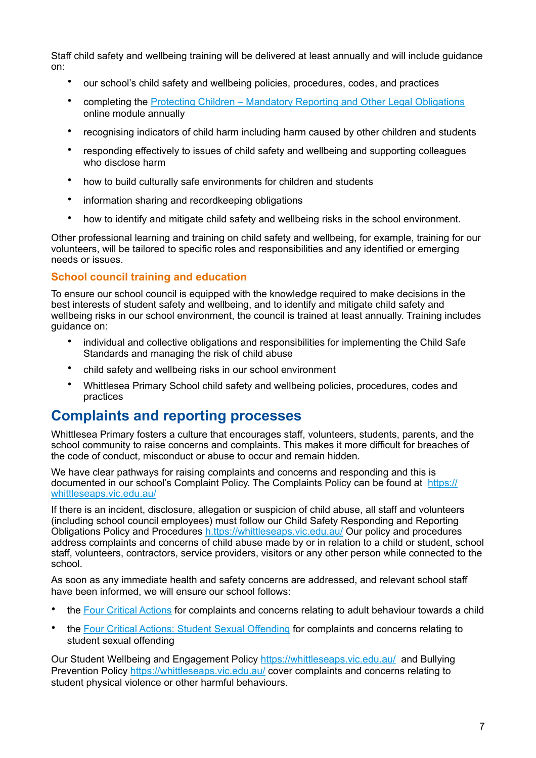Staff child safety and wellbeing training will be delivered at least annually and will include guidance on:

- our school's child safety and wellbeing policies, procedures, codes, and practices
- completing the [Protecting Children Mandatory Reporting and Other Legal Obligations](http://elearn.com.au/det/protectingchildren/) online module annually
- recognising indicators of child harm including harm caused by other children and students
- responding effectively to issues of child safety and wellbeing and supporting colleagues who disclose harm
- how to build culturally safe environments for children and students
- information sharing and recordkeeping obligations
- how to identify and mitigate child safety and wellbeing risks in the school environment.

Other professional learning and training on child safety and wellbeing, for example, training for our volunteers, will be tailored to specific roles and responsibilities and any identified or emerging needs or issues.

#### **School council training and education**

To ensure our school council is equipped with the knowledge required to make decisions in the best interests of student safety and wellbeing, and to identify and mitigate child safety and wellbeing risks in our school environment, the council is trained at least annually. Training includes guidance on:

- individual and collective obligations and responsibilities for implementing the Child Safe Standards and managing the risk of child abuse
- child safety and wellbeing risks in our school environment
- Whittlesea Primary School child safety and wellbeing policies, procedures, codes and practices

### **Complaints and reporting processes**

Whittlesea Primary fosters a culture that encourages staff, volunteers, students, parents, and the school community to raise concerns and complaints. This makes it more difficult for breaches of the code of conduct, misconduct or abuse to occur and remain hidden.

We have clear pathways for raising complaints and concerns and responding and this is documented in our school's Complaint Policy. The Complaints Policy can be found at [https://](https://whittleseaps.vic.edu.au/) [whittleseaps.vic.edu.au/](https://whittleseaps.vic.edu.au/)

If there is an incident, disclosure, allegation or suspicion of child abuse, all staff and volunteers (including school council employees) must follow our Child Safety Responding and Reporting Obligations Policy and Procedures [h.ttps://whittleseaps.vic.edu.au/](https://whittleseaps.vic.edu.au/) Our policy and procedures address complaints and concerns of child abuse made by or in relation to a child or student, school staff, volunteers, contractors, service providers, visitors or any other person while connected to the school.

As soon as any immediate health and safety concerns are addressed, and relevant school staff have been informed, we will ensure our school follows:

- the [Four Critical Actions](https://www.education.vic.gov.au/Documents/about/programs/health/protect/FourCriticalActions_ChildAbuse.pdf) for complaints and concerns relating to adult behaviour towards a child
- the [Four Critical Actions: Student Sexual Offending](https://www.education.vic.gov.au/school/teachers/health/childprotection/Pages/stusexual.aspx) for complaints and concerns relating to student sexual offending

Our Student Wellbeing and Engagement Policy<https://whittleseaps.vic.edu.au/> and Bullying Prevention Policy <https://whittleseaps.vic.edu.au/>cover complaints and concerns relating to student physical violence or other harmful behaviours.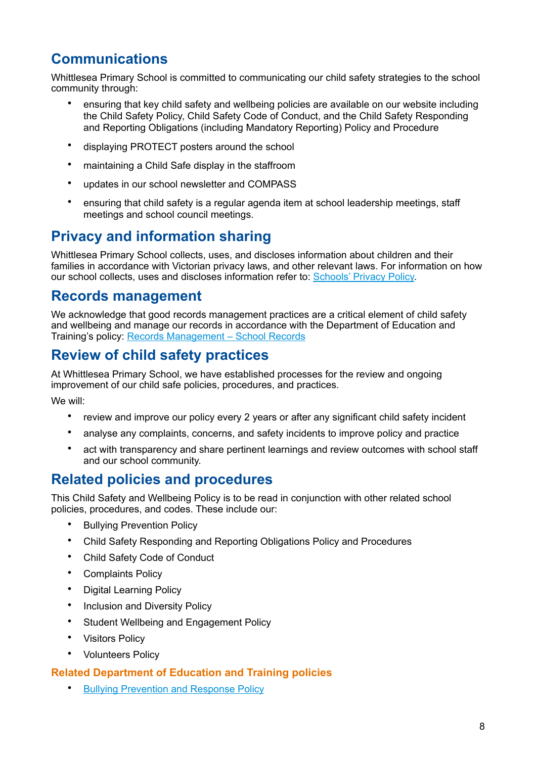# **Communications**

Whittlesea Primary School is committed to communicating our child safety strategies to the school community through:

- ensuring that key child safety and wellbeing policies are available on our website including the Child Safety Policy, Child Safety Code of Conduct, and the Child Safety Responding and Reporting Obligations (including Mandatory Reporting) Policy and Procedure
- displaying PROTECT posters around the school
- maintaining a Child Safe display in the staffroom
- updates in our school newsletter and COMPASS
- ensuring that child safety is a regular agenda item at school leadership meetings, staff meetings and school council meetings.

# **Privacy and information sharing**

Whittlesea Primary School collects, uses, and discloses information about children and their families in accordance with Victorian privacy laws, and other relevant laws. For information on how our school collects, uses and discloses information refer to: [Schools' Privacy Policy.](https://www.education.vic.gov.au/Pages/schoolsprivacypolicy.aspx)

### **Records management**

We acknowledge that good records management practices are a critical element of child safety and wellbeing and manage our records in accordance with the Department of Education and Training's policy: [Records Management – School Records](https://www2.education.vic.gov.au/pal/records-management/policy)

# **Review of child safety practices**

At Whittlesea Primary School, we have established processes for the review and ongoing improvement of our child safe policies, procedures, and practices.

We will:

- review and improve our policy every 2 years or after any significant child safety incident
- analyse any complaints, concerns, and safety incidents to improve policy and practice
- act with transparency and share pertinent learnings and review outcomes with school staff and our school community.

### **Related policies and procedures**

This Child Safety and Wellbeing Policy is to be read in conjunction with other related school policies, procedures, and codes. These include our:

- Bullying Prevention Policy
- Child Safety Responding and Reporting Obligations Policy and Procedures
- Child Safety Code of Conduct
- Complaints Policy
- Digital Learning Policy
- Inclusion and Diversity Policy
- Student Wellbeing and Engagement Policy
- Visitors Policy
- Volunteers Policy

#### **Related Department of Education and Training policies**

• [Bullying Prevention and Response Policy](https://www2.education.vic.gov.au/pal/bullying-prevention-response/policy)